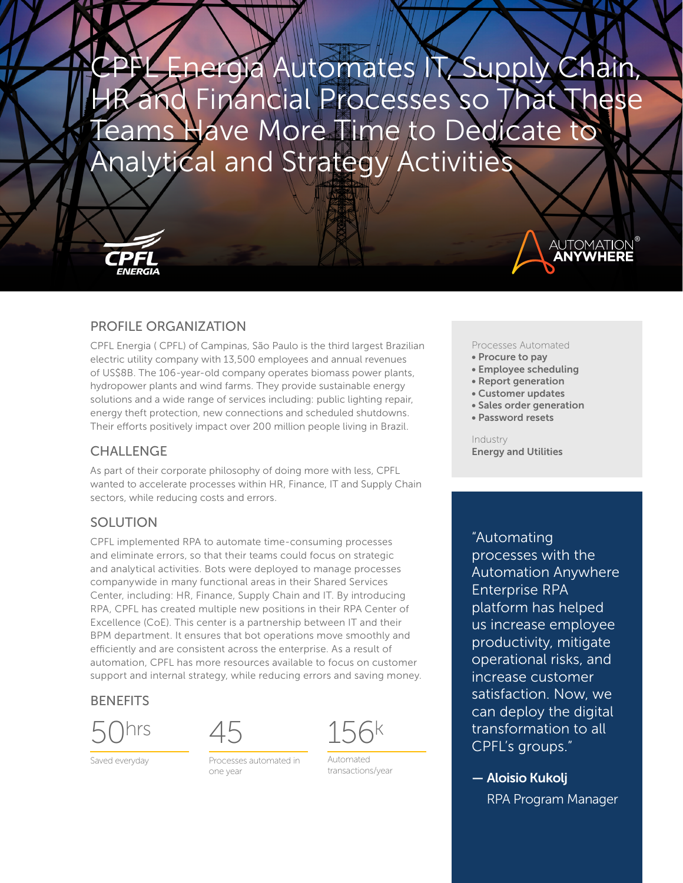nergia Automates IT, Supply Chain, Financial Processes so That These Have More Time to Dedicate to Analytical and Strategy Activities



CPFL Energia ( CPFL) of Campinas, São Paulo is the third largest Brazilian electric utility company with 13,500 employees and annual revenues of US\$8B. The 106-year-old company operates biomass power plants, hydropower plants and wind farms. They provide sustainable energy solutions and a wide range of services including: public lighting repair, energy theft protection, new connections and scheduled shutdowns. Their efforts positively impact over 200 million people living in Brazil.

## CHALLENGE

As part of their corporate philosophy of doing more with less, CPFL wanted to accelerate processes within HR, Finance, IT and Supply Chain sectors, while reducing costs and errors.

# **SOLUTION**

CPFL implemented RPA to automate time-consuming processes and eliminate errors, so that their teams could focus on strategic and analytical activities. Bots were deployed to manage processes companywide in many functional areas in their Shared Services Center, including: HR, Finance, Supply Chain and IT. By introducing RPA, CPFL has created multiple new positions in their RPA Center of Excellence (CoE). This center is a partnership between IT and their BPM department. It ensures that bot operations move smoothly and efficiently and are consistent across the enterprise. As a result of automation, CPFL has more resources available to focus on customer support and internal strategy, while reducing errors and saving money.

### **BENEFITS**



Saved everyday



Processes automated in one year



Automated transactions/year

### Processes Automated

®

**AUTOMATION**<br>**ANYWHERE** 

- Procure to pay
- Employee scheduling
- Report generation
- Customer updates
- Sales order generation
- Password resets

Industry Energy and Utilities

"Automating processes with the Automation Anywhere Enterprise RPA platform has helped us increase employee productivity, mitigate operational risks, and increase customer satisfaction. Now, we can deploy the digital transformation to all CPFL's groups."

— Aloisio Kukolj RPA Program Manager